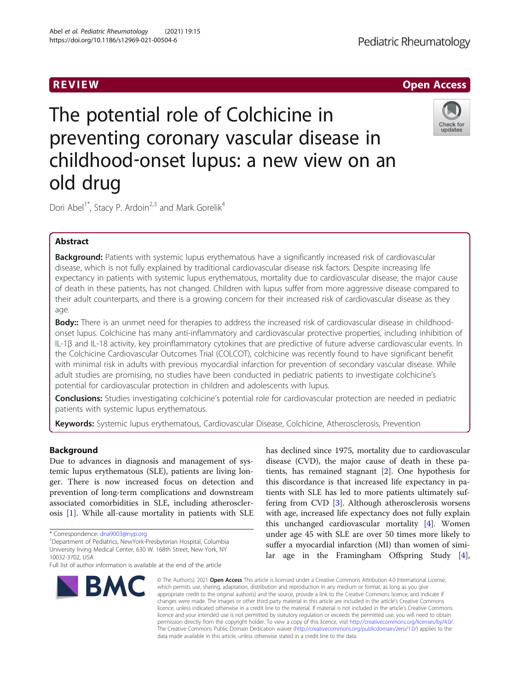# Pediatric Rheumatology



# The potential role of Colchicine in preventing coronary vascular disease in childhood‐onset lupus: a new view on an old drug



Dori Abel<sup>1\*</sup>, Stacy P. Ardoin<sup>2,3</sup> and Mark Gorelik<sup>4</sup>

# Abstract

Background: Patients with systemic lupus erythematous have a significantly increased risk of cardiovascular disease, which is not fully explained by traditional cardiovascular disease risk factors. Despite increasing life expectancy in patients with systemic lupus erythematous, mortality due to cardiovascular disease, the major cause of death in these patients, has not changed. Children with lupus suffer from more aggressive disease compared to their adult counterparts, and there is a growing concern for their increased risk of cardiovascular disease as they age.

Body:: There is an unmet need for therapies to address the increased risk of cardiovascular disease in childhoodonset lupus. Colchicine has many anti-inflammatory and cardiovascular protective properties, including inhibition of IL-1β and IL-18 activity, key proinflammatory cytokines that are predictive of future adverse cardiovascular events. In the Colchicine Cardiovascular Outcomes Trial (COLCOT), colchicine was recently found to have significant benefit with minimal risk in adults with previous myocardial infarction for prevention of secondary vascular disease. While adult studies are promising, no studies have been conducted in pediatric patients to investigate colchicine's potential for cardiovascular protection in children and adolescents with lupus.

Conclusions: Studies investigating colchicine's potential role for cardiovascular protection are needed in pediatric patients with systemic lupus erythematous.

Keywords: Systemic lupus erythematous, Cardiovascular Disease, Colchicine, Atherosclerosis, Prevention

# Background

Due to advances in diagnosis and management of systemic lupus erythematous (SLE), patients are living longer. There is now increased focus on detection and prevention of long-term complications and downstream associated comorbidities in SLE, including atherosclerosis [\[1](#page-4-0)]. While all-cause mortality in patients with SLE

Department of Pediatrics, NewYork-Presbyterian Hospital, Columbia University Irving Medical Center, 630 W. 168th Street, New York, NY 10032-3702, USA

Full list of author information is available at the end of the article



has declined since 1975, mortality due to cardiovascular disease (CVD), the major cause of death in these patients, has remained stagnant [\[2](#page-4-0)]. One hypothesis for this discordance is that increased life expectancy in patients with SLE has led to more patients ultimately suffering from CVD [\[3](#page-4-0)]. Although atherosclerosis worsens with age, increased life expectancy does not fully explain this unchanged cardiovascular mortality [[4\]](#page-4-0). Women under age 45 with SLE are over 50 times more likely to suffer a myocardial infarction (MI) than women of similar age in the Framingham Offspring Study [\[4](#page-4-0)],

© The Author(s), 2021 **Open Access** This article is licensed under a Creative Commons Attribution 4.0 International License, which permits use, sharing, adaptation, distribution and reproduction in any medium or format, as long as you give appropriate credit to the original author(s) and the source, provide a link to the Creative Commons licence, and indicate if changes were made. The images or other third party material in this article are included in the article's Creative Commons licence, unless indicated otherwise in a credit line to the material. If material is not included in the article's Creative Commons licence and your intended use is not permitted by statutory regulation or exceeds the permitted use, you will need to obtain permission directly from the copyright holder. To view a copy of this licence, visit [http://creativecommons.org/licenses/by/4.0/.](http://creativecommons.org/licenses/by/4.0/) The Creative Commons Public Domain Dedication waiver [\(http://creativecommons.org/publicdomain/zero/1.0/](http://creativecommons.org/publicdomain/zero/1.0/)) applies to the data made available in this article, unless otherwise stated in a credit line to the data.

<sup>\*</sup> Correspondence: [dna9003@nyp.org](mailto:dna9003@nyp.org) <sup>1</sup>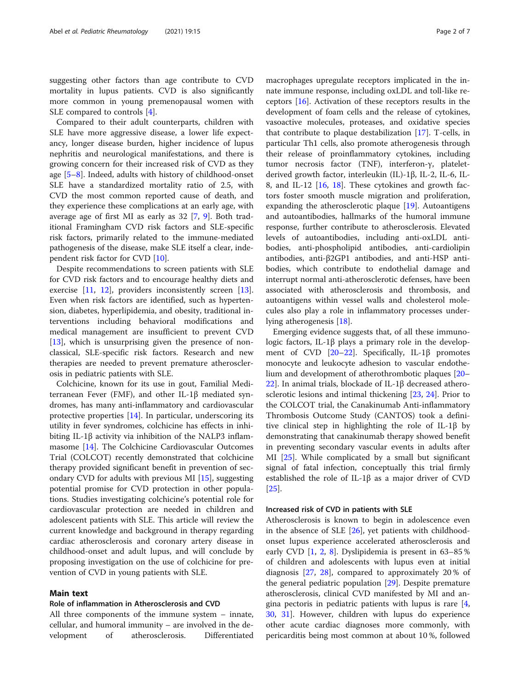suggesting other factors than age contribute to CVD mortality in lupus patients. CVD is also significantly more common in young premenopausal women with SLE compared to controls [[4\]](#page-4-0).

Compared to their adult counterparts, children with SLE have more aggressive disease, a lower life expectancy, longer disease burden, higher incidence of lupus nephritis and neurological manifestations, and there is growing concern for their increased risk of CVD as they age [\[5](#page-4-0)–[8](#page-4-0)]. Indeed, adults with history of childhood-onset SLE have a standardized mortality ratio of 2.5, with CVD the most common reported cause of death, and they experience these complications at an early age, with average age of first MI as early as 32 [[7,](#page-4-0) [9\]](#page-4-0). Both traditional Framingham CVD risk factors and SLE-specific risk factors, primarily related to the immune-mediated pathogenesis of the disease, make SLE itself a clear, independent risk factor for CVD [[10](#page-4-0)].

Despite recommendations to screen patients with SLE for CVD risk factors and to encourage healthy diets and exercise [[11](#page-4-0), [12\]](#page-4-0), providers inconsistently screen [\[13](#page-5-0)]. Even when risk factors are identified, such as hypertension, diabetes, hyperlipidemia, and obesity, traditional interventions including behavioral modifications and medical management are insufficient to prevent CVD [[13\]](#page-5-0), which is unsurprising given the presence of nonclassical, SLE-specific risk factors. Research and new therapies are needed to prevent premature atherosclerosis in pediatric patients with SLE.

Colchicine, known for its use in gout, Familial Mediterranean Fever (FMF), and other IL-1β mediated syndromes, has many anti-inflammatory and cardiovascular protective properties [\[14](#page-5-0)]. In particular, underscoring its utility in fever syndromes, colchicine has effects in inhibiting IL-1β activity via inhibition of the NALP3 inflammasome [[14\]](#page-5-0). The Colchicine Cardiovascular Outcomes Trial (COLCOT) recently demonstrated that colchicine therapy provided significant benefit in prevention of secondary CVD for adults with previous MI [[15\]](#page-5-0), suggesting potential promise for CVD protection in other populations. Studies investigating colchicine's potential role for cardiovascular protection are needed in children and adolescent patients with SLE. This article will review the current knowledge and background in therapy regarding cardiac atherosclerosis and coronary artery disease in childhood-onset and adult lupus, and will conclude by proposing investigation on the use of colchicine for prevention of CVD in young patients with SLE.

# Main text

#### Role of inflammation in Atherosclerosis and CVD

All three components of the immune system – innate, cellular, and humoral immunity – are involved in the development of atherosclerosis. Differentiated macrophages upregulate receptors implicated in the innate immune response, including oxLDL and toll-like receptors [\[16](#page-5-0)]. Activation of these receptors results in the development of foam cells and the release of cytokines, vasoactive molecules, proteases, and oxidative species that contribute to plaque destabilization [\[17](#page-5-0)]. T-cells, in particular Th1 cells, also promote atherogenesis through their release of proinflammatory cytokines, including tumor necrosis factor (TNF), interferon-γ, plateletderived growth factor, interleukin (IL)-1β, IL-2, IL-6, IL-8, and IL-12 [[16,](#page-5-0) [18\]](#page-5-0). These cytokines and growth factors foster smooth muscle migration and proliferation, expanding the atherosclerotic plaque [\[19](#page-5-0)]. Autoantigens and autoantibodies, hallmarks of the humoral immune response, further contribute to atherosclerosis. Elevated levels of autoantibodies, including anti-oxLDL antibodies, anti-phospholipid antibodies, anti-cardiolipin antibodies, anti-β2GP1 antibodies, and anti-HSP antibodies, which contribute to endothelial damage and interrupt normal anti-atherosclerotic defenses, have been associated with atherosclerosis and thrombosis, and autoantigens within vessel walls and cholesterol molecules also play a role in inflammatory processes underlying atherogenesis [[18](#page-5-0)].

Emerging evidence suggests that, of all these immunologic factors, IL-1β plays a primary role in the development of CVD [\[20](#page-5-0)–[22\]](#page-5-0). Specifically, IL-1β promotes monocyte and leukocyte adhesion to vascular endothelium and development of atherothrombotic plaques [[20](#page-5-0)– [22\]](#page-5-0). In animal trials, blockade of IL-1β decreased atherosclerotic lesions and intimal thickening [[23,](#page-5-0) [24\]](#page-5-0). Prior to the COLCOT trial, the Canakinumab Anti-inflammatory Thrombosis Outcome Study (CANTOS) took a definitive clinical step in highlighting the role of IL-1β by demonstrating that canakinumab therapy showed benefit in preventing secondary vascular events in adults after MI [[25\]](#page-5-0). While complicated by a small but significant signal of fatal infection, conceptually this trial firmly established the role of IL-1β as a major driver of CVD [[25\]](#page-5-0).

#### Increased risk of CVD in patients with SLE

Atherosclerosis is known to begin in adolescence even in the absence of SLE [[26](#page-5-0)], yet patients with childhoodonset lupus experience accelerated atherosclerosis and early CVD [[1,](#page-4-0) [2](#page-4-0), [8](#page-4-0)]. Dyslipidemia is present in 63–85 % of children and adolescents with lupus even at initial diagnosis [\[27,](#page-5-0) [28](#page-5-0)], compared to approximately 20 % of the general pediatric population [[29](#page-5-0)]. Despite premature atherosclerosis, clinical CVD manifested by MI and angina pectoris in pediatric patients with lupus is rare [\[4](#page-4-0), [30,](#page-5-0) [31](#page-5-0)]. However, children with lupus do experience other acute cardiac diagnoses more commonly, with pericarditis being most common at about 10 %, followed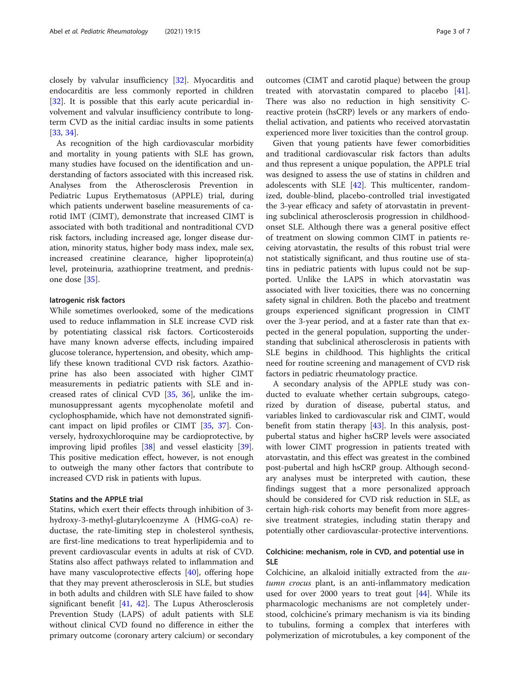closely by valvular insufficiency [\[32\]](#page-5-0). Myocarditis and endocarditis are less commonly reported in children [[32\]](#page-5-0). It is possible that this early acute pericardial involvement and valvular insufficiency contribute to longterm CVD as the initial cardiac insults in some patients [[33,](#page-5-0) [34\]](#page-5-0).

As recognition of the high cardiovascular morbidity and mortality in young patients with SLE has grown, many studies have focused on the identification and understanding of factors associated with this increased risk. Analyses from the Atherosclerosis Prevention in Pediatric Lupus Erythematosus (APPLE) trial, during which patients underwent baseline measurements of carotid IMT (CIMT), demonstrate that increased CIMT is associated with both traditional and nontraditional CVD risk factors, including increased age, longer disease duration, minority status, higher body mass index, male sex, increased creatinine clearance, higher lipoprotein(a) level, proteinuria, azathioprine treatment, and prednisone dose [\[35](#page-5-0)].

#### Iatrogenic risk factors

While sometimes overlooked, some of the medications used to reduce inflammation in SLE increase CVD risk by potentiating classical risk factors. Corticosteroids have many known adverse effects, including impaired glucose tolerance, hypertension, and obesity, which amplify these known traditional CVD risk factors. Azathioprine has also been associated with higher CIMT measurements in pediatric patients with SLE and increased rates of clinical CVD [\[35](#page-5-0), [36](#page-5-0)], unlike the immunosuppressant agents mycophenolate mofetil and cyclophosphamide, which have not demonstrated significant impact on lipid profiles or CIMT [[35,](#page-5-0) [37\]](#page-5-0). Conversely, hydroxychloroquine may be cardioprotective, by improving lipid profiles [\[38](#page-5-0)] and vessel elasticity [\[39](#page-5-0)]. This positive medication effect, however, is not enough to outweigh the many other factors that contribute to increased CVD risk in patients with lupus.

## Statins and the APPLE trial

Statins, which exert their effects through inhibition of 3 hydroxy-3-methyl-glutarylcoenzyme A (HMG-coA) reductase, the rate-limiting step in cholesterol synthesis, are first-line medications to treat hyperlipidemia and to prevent cardiovascular events in adults at risk of CVD. Statins also affect pathways related to inflammation and have many vasculoprotective effects [[40\]](#page-5-0), offering hope that they may prevent atherosclerosis in SLE, but studies in both adults and children with SLE have failed to show significant benefit  $[41, 42]$  $[41, 42]$  $[41, 42]$  $[41, 42]$  $[41, 42]$ . The Lupus Atherosclerosis Prevention Study (LAPS) of adult patients with SLE without clinical CVD found no difference in either the primary outcome (coronary artery calcium) or secondary outcomes (CIMT and carotid plaque) between the group treated with atorvastatin compared to placebo [\[41](#page-5-0)]. There was also no reduction in high sensitivity Creactive protein (hsCRP) levels or any markers of endothelial activation, and patients who received atorvastatin experienced more liver toxicities than the control group.

Given that young patients have fewer comorbidities and traditional cardiovascular risk factors than adults and thus represent a unique population, the APPLE trial was designed to assess the use of statins in children and adolescents with SLE [\[42](#page-5-0)]. This multicenter, randomized, double-blind, placebo-controlled trial investigated the 3-year efficacy and safety of atorvastatin in preventing subclinical atherosclerosis progression in childhoodonset SLE. Although there was a general positive effect of treatment on slowing common CIMT in patients receiving atorvastatin, the results of this robust trial were not statistically significant, and thus routine use of statins in pediatric patients with lupus could not be supported. Unlike the LAPS in which atorvastatin was associated with liver toxicities, there was no concerning safety signal in children. Both the placebo and treatment groups experienced significant progression in CIMT over the 3-year period, and at a faster rate than that expected in the general population, supporting the understanding that subclinical atherosclerosis in patients with SLE begins in childhood. This highlights the critical need for routine screening and management of CVD risk factors in pediatric rheumatology practice.

A secondary analysis of the APPLE study was conducted to evaluate whether certain subgroups, categorized by duration of disease, pubertal status, and variables linked to cardiovascular risk and CIMT, would benefit from statin therapy [\[43\]](#page-5-0). In this analysis, postpubertal status and higher hsCRP levels were associated with lower CIMT progression in patients treated with atorvastatin, and this effect was greatest in the combined post-pubertal and high hsCRP group. Although secondary analyses must be interpreted with caution, these findings suggest that a more personalized approach should be considered for CVD risk reduction in SLE, as certain high-risk cohorts may benefit from more aggressive treatment strategies, including statin therapy and potentially other cardiovascular-protective interventions.

# Colchicine: mechanism, role in CVD, and potential use in SLE

Colchicine, an alkaloid initially extracted from the *au*tumn crocus plant, is an anti-inflammatory medication used for over 2000 years to treat gout [[44](#page-5-0)]. While its pharmacologic mechanisms are not completely understood, colchicine's primary mechanism is via its binding to tubulins, forming a complex that interferes with polymerization of microtubules, a key component of the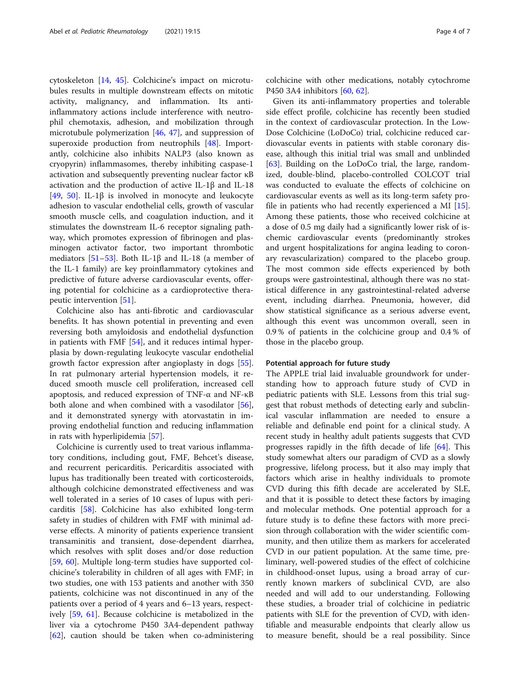cytoskeleton [[14](#page-5-0), [45](#page-5-0)]. Colchicine's impact on microtubules results in multiple downstream effects on mitotic activity, malignancy, and inflammation. Its antiinflammatory actions include interference with neutrophil chemotaxis, adhesion, and mobilization through microtubule polymerization [[46,](#page-5-0) [47](#page-5-0)], and suppression of superoxide production from neutrophils [[48\]](#page-5-0). Importantly, colchicine also inhibits NALP3 (also known as cryopyrin) inflammasomes, thereby inhibiting caspase-1 activation and subsequently preventing nuclear factor κB activation and the production of active IL-1β and IL-18 [[49,](#page-5-0) [50\]](#page-5-0). IL-1 $\beta$  is involved in monocyte and leukocyte adhesion to vascular endothelial cells, growth of vascular smooth muscle cells, and coagulation induction, and it stimulates the downstream IL-6 receptor signaling pathway, which promotes expression of fibrinogen and plasminogen activator factor, two important thrombotic mediators [ $51-53$ ]. Both IL-1 $\beta$  and IL-18 (a member of the IL-1 family) are key proinflammatory cytokines and predictive of future adverse cardiovascular events, offering potential for colchicine as a cardioprotective therapeutic intervention [[51](#page-5-0)].

Colchicine also has anti-fibrotic and cardiovascular benefits. It has shown potential in preventing and even reversing both amyloidosis and endothelial dysfunction in patients with FMF [[54\]](#page-5-0), and it reduces intimal hyperplasia by down-regulating leukocyte vascular endothelial growth factor expression after angioplasty in dogs [\[55](#page-5-0)]. In rat pulmonary arterial hypertension models, it reduced smooth muscle cell proliferation, increased cell apoptosis, and reduced expression of TNF-α and NF-κB both alone and when combined with a vasodilator [\[56](#page-5-0)], and it demonstrated synergy with atorvastatin in improving endothelial function and reducing inflammation in rats with hyperlipidemia [\[57](#page-5-0)].

Colchicine is currently used to treat various inflammatory conditions, including gout, FMF, Behcet's disease, and recurrent pericarditis. Pericarditis associated with lupus has traditionally been treated with corticosteroids, although colchicine demonstrated effectiveness and was well tolerated in a series of 10 cases of lupus with pericarditis [\[58](#page-6-0)]. Colchicine has also exhibited long-term safety in studies of children with FMF with minimal adverse effects. A minority of patients experience transient transaminitis and transient, dose-dependent diarrhea, which resolves with split doses and/or dose reduction [[59,](#page-6-0) [60](#page-6-0)]. Multiple long-term studies have supported colchicine's tolerability in children of all ages with FMF; in two studies, one with 153 patients and another with 350 patients, colchicine was not discontinued in any of the patients over a period of 4 years and 6–13 years, respectively [[59](#page-6-0), [61\]](#page-6-0). Because colchicine is metabolized in the liver via a cytochrome P450 3A4-dependent pathway [[62\]](#page-6-0), caution should be taken when co-administering colchicine with other medications, notably cytochrome P450 3A4 inhibitors [[60,](#page-6-0) [62\]](#page-6-0).

Given its anti-inflammatory properties and tolerable side effect profile, colchicine has recently been studied in the context of cardiovascular protection. In the Low-Dose Colchicine (LoDoCo) trial, colchicine reduced cardiovascular events in patients with stable coronary disease, although this initial trial was small and unblinded [[63\]](#page-6-0). Building on the LoDoCo trial, the large, randomized, double-blind, placebo-controlled COLCOT trial was conducted to evaluate the effects of colchicine on cardiovascular events as well as its long-term safety profile in patients who had recently experienced a MI [\[15](#page-5-0)]. Among these patients, those who received colchicine at a dose of 0.5 mg daily had a significantly lower risk of ischemic cardiovascular events (predominantly strokes and urgent hospitalizations for angina leading to coronary revascularization) compared to the placebo group. The most common side effects experienced by both groups were gastrointestinal, although there was no statistical difference in any gastrointestinal-related adverse event, including diarrhea. Pneumonia, however, did show statistical significance as a serious adverse event, although this event was uncommon overall, seen in 0.9 % of patients in the colchicine group and 0.4 % of those in the placebo group.

#### Potential approach for future study

The APPLE trial laid invaluable groundwork for understanding how to approach future study of CVD in pediatric patients with SLE. Lessons from this trial suggest that robust methods of detecting early and subclinical vascular inflammation are needed to ensure a reliable and definable end point for a clinical study. A recent study in healthy adult patients suggests that CVD progresses rapidly in the fifth decade of life [[64\]](#page-6-0). This study somewhat alters our paradigm of CVD as a slowly progressive, lifelong process, but it also may imply that factors which arise in healthy individuals to promote CVD during this fifth decade are accelerated by SLE, and that it is possible to detect these factors by imaging and molecular methods. One potential approach for a future study is to define these factors with more precision through collaboration with the wider scientific community, and then utilize them as markers for accelerated CVD in our patient population. At the same time, preliminary, well-powered studies of the effect of colchicine in childhood-onset lupus, using a broad array of currently known markers of subclinical CVD, are also needed and will add to our understanding. Following these studies, a broader trial of colchicine in pediatric patients with SLE for the prevention of CVD, with identifiable and measurable endpoints that clearly allow us to measure benefit, should be a real possibility. Since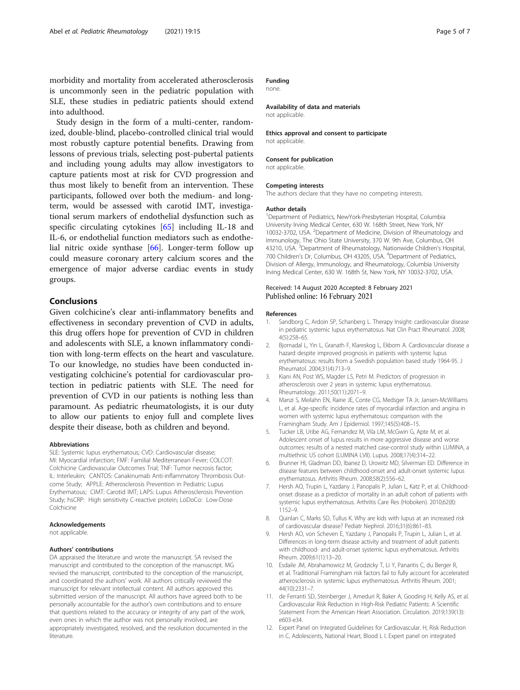<span id="page-4-0"></span>morbidity and mortality from accelerated atherosclerosis is uncommonly seen in the pediatric population with SLE, these studies in pediatric patients should extend into adulthood.

Study design in the form of a multi-center, randomized, double-blind, placebo-controlled clinical trial would most robustly capture potential benefits. Drawing from lessons of previous trials, selecting post-pubertal patients and including young adults may allow investigators to capture patients most at risk for CVD progression and thus most likely to benefit from an intervention. These participants, followed over both the medium- and longterm, would be assessed with carotid IMT, investigational serum markers of endothelial dysfunction such as specific circulating cytokines [[65\]](#page-6-0) including IL-18 and IL-6, or endothelial function mediators such as endothelial nitric oxide synthase [[66\]](#page-6-0). Longer-term follow up could measure coronary artery calcium scores and the emergence of major adverse cardiac events in study groups.

### Conclusions

Given colchicine's clear anti-inflammatory benefits and effectiveness in secondary prevention of CVD in adults, this drug offers hope for prevention of CVD in children and adolescents with SLE, a known inflammatory condition with long-term effects on the heart and vasculature. To our knowledge, no studies have been conducted investigating colchicine's potential for cardiovascular protection in pediatric patients with SLE. The need for prevention of CVD in our patients is nothing less than paramount. As pediatric rheumatologists, it is our duty to allow our patients to enjoy full and complete lives despite their disease, both as children and beyond.

#### Abbreviations

SLE: Systemic lupus erythematous; CVD: Cardiovascular disease; MI: Myocardial infarction; FMF: Familial Mediterranean Fever; COLCOT: Colchicine Cardiovascular Outcomes Trial; TNF: Tumor necrosis factor; IL: Interleukin; CANTOS: Canakinumab Anti-inflammatory Thrombosis Outcome Study; APPLE: Atherosclerosis Prevention in Pediatric Lupus Erythematous; CIMT: Carotid IMT; LAPS: Lupus Atherosclerosis Prevention Study; hsCRP: High sensitivity C-reactive protein; LoDoCo: Low-Dose Colchicine

#### Acknowledgements

not applicable.

#### Authors' contributions

DA appraised the literature and wrote the manuscript. SA revised the manuscript and contributed to the conception of the manuscript. MG revised the manuscript, contributed to the conception of the manuscript, and coordinated the authors' work. All authors critically reviewed the manuscript for relevant intellectual content. All authors approved this submitted version of the manuscript. All authors have agreed both to be personally accountable for the author's own contributions and to ensure that questions related to the accuracy or integrity of any part of the work, even ones in which the author was not personally involved, are appropriately investigated, resolved, and the resolution documented in the literature.

### Funding

none.

Availability of data and materials

not applicable.

Ethics approval and consent to participate not applicable.

#### Consent for publication

not applicable.

#### Competing interests

The authors declare that they have no competing interests.

#### Author details

<sup>1</sup>Department of Pediatrics, NewYork-Presbyterian Hospital, Columbia University Irving Medical Center, 630 W. 168th Street, New York, NY 10032-3702, USA. <sup>2</sup> Department of Medicine, Division of Rheumatology and Immunology, The Ohio State University, 370 W. 9th Ave, Columbus, OH 43210, USA. <sup>3</sup>Department of Rheumatology, Nationwide Children's Hospital 700 Children's Dr, Columbus, OH 43205, USA. <sup>4</sup> Department of Pediatrics, Division of Allergy, Immunology, and Rheumatology, Columbia University Irving Medical Center, 630 W. 168th St, New York, NY 10032-3702, USA.

#### Received: 14 August 2020 Accepted: 8 February 2021 Published online: 16 February 2021

#### References

- 1. Sandborg C, Ardoin SP, Schanberg L. Therapy Insight: cardiovascular disease in pediatric systemic lupus erythematosus. Nat Clin Pract Rheumatol. 2008; 4(5):258–65.
- 2. Bjornadal L, Yin L, Granath F, Klareskog L, Ekbom A. Cardiovascular disease a hazard despite improved prognosis in patients with systemic lupus erythematosus: results from a Swedish population based study 1964-95. J Rheumatol. 2004;31(4):713–9.
- 3. Kiani AN, Post WS, Magder LS, Petri M. Predictors of progression in atherosclerosis over 2 years in systemic lupus erythematosus. Rheumatology. 2011;50(11):2071–9.
- 4. Manzi S, Meilahn EN, Rairie JE, Conte CG, Medsger TA Jr, Jansen-McWilliams L, et al. Age-specific incidence rates of myocardial infarction and angina in women with systemic lupus erythematosus: comparison with the Framingham Study. Am J Epidemiol. 1997;145(5):408–15.
- 5. Tucker LB, Uribe AG, Fernandez M, Vila LM, McGwin G, Apte M, et al. Adolescent onset of lupus results in more aggressive disease and worse outcomes: results of a nested matched case-control study within LUMINA, a multiethnic US cohort (LUMINA LVII). Lupus. 2008;17(4):314–22.
- 6. Brunner HI, Gladman DD, Ibanez D, Urowitz MD, Silverman ED. Difference in disease features between childhood-onset and adult-onset systemic lupus erythematosus. Arthritis Rheum. 2008;58(2):556–62.
- 7. Hersh AO, Trupin L, Yazdany J, Panopalis P, Julian L, Katz P, et al. Childhoodonset disease as a predictor of mortality in an adult cohort of patients with systemic lupus erythematosus. Arthritis Care Res (Hoboken). 2010;62(8): 1152–9.
- 8. Quinlan C, Marks SD, Tullus K. Why are kids with lupus at an increased risk of cardiovascular disease? Pediatr Nephrol. 2016;31(6):861–83.
- 9. Hersh AO, von Scheven E, Yazdany J, Panopalis P, Trupin L, Julian L, et al. Differences in long-term disease activity and treatment of adult patients with childhood- and adult-onset systemic lupus erythematosus. Arthritis Rheum. 2009;61(1):13–20.
- 10. Esdaile JM, Abrahamowicz M, Grodzicky T, Li Y, Panaritis C, du Berger R, et al. Traditional Framingham risk factors fail to fully account for accelerated atherosclerosis in systemic lupus erythematosus. Arthritis Rheum. 2001; 44(10):2331–7.
- 11. de Ferranti SD, Steinberger J, Ameduri R, Baker A, Gooding H, Kelly AS, et al. Cardiovascular Risk Reduction in High-Risk Pediatric Patients: A Scientific Statement From the American Heart Association. Circulation. 2019;139(13): e603-e34.
- 12. Expert Panel on Integrated Guidelines for Cardiovascular. H, Risk Reduction in C, Adolescents, National Heart, Blood L I. Expert panel on integrated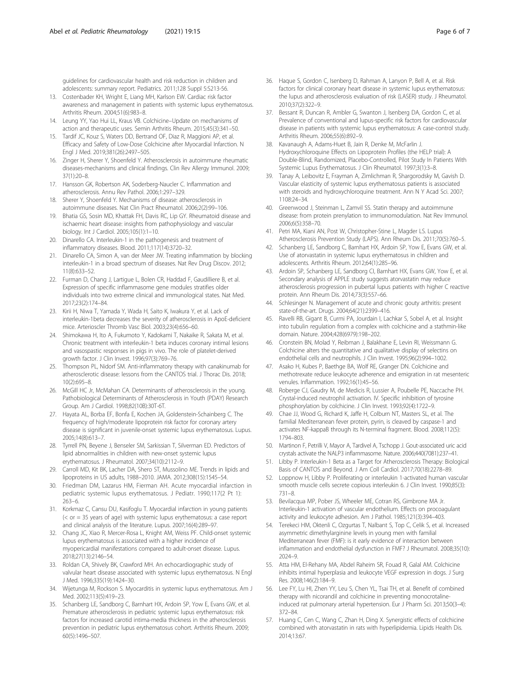<span id="page-5-0"></span>guidelines for cardiovascular health and risk reduction in children and adolescents: summary report. Pediatrics. 2011;128 Suppl 5:S213-56.

- 13. Costenbader KH, Wright E, Liang MH, Karlson EW. Cardiac risk factor awareness and management in patients with systemic lupus erythematosus. Arthritis Rheum. 2004;51(6):983–8.
- 14. Leung YY, Yao Hui LL, Kraus VB. Colchicine–Update on mechanisms of action and therapeutic uses. Semin Arthritis Rheum. 2015;45(3):341–50.
- 15. Tardif JC, Kouz S, Waters DD, Bertrand OF, Diaz R, Maggioni AP, et al. Efficacy and Safety of Low-Dose Colchicine after Myocardial Infarction. N Engl J Med. 2019;381(26):2497–505.
- 16. Zinger H, Sherer Y, Shoenfeld Y. Atherosclerosis in autoimmune rheumatic diseases-mechanisms and clinical findings. Clin Rev Allergy Immunol. 2009; 37(1):20–8.
- 17. Hansson GK, Robertson AK, Soderberg-Naucler C. Inflammation and atherosclerosis. Annu Rev Pathol. 2006;1:297–329.
- 18. Sherer Y, Shoenfeld Y. Mechanisms of disease: atherosclerosis in autoimmune diseases. Nat Clin Pract Rheumatol. 2006;2(2):99–106.
- 19. Bhatia GS, Sosin MD, Khattak FH, Davis RC, Lip GY. Rheumatoid disease and ischaemic heart disease: insights from pathophysiology and vascular biology. Int J Cardiol. 2005;105(1):1–10.
- 20. Dinarello CA. Interleukin-1 in the pathogenesis and treatment of inflammatory diseases. Blood. 2011;117(14):3720–32.
- 21. Dinarello CA, Simon A, van der Meer JW. Treating inflammation by blocking interleukin-1 in a broad spectrum of diseases. Nat Rev Drug Discov. 2012; 11(8):633–52.
- 22. Furman D, Chang J, Lartigue L, Bolen CR, Haddad F, Gaudilliere B, et al. Expression of specific inflammasome gene modules stratifies older individuals into two extreme clinical and immunological states. Nat Med. 2017;23(2):174–84.
- 23. Kirii H, Niwa T, Yamada Y, Wada H, Saito K, Iwakura Y, et al. Lack of interleukin-1beta decreases the severity of atherosclerosis in ApoE-deficient mice. Arterioscler Thromb Vasc Biol. 2003;23(4):656–60.
- 24. Shimokawa H, Ito A, Fukumoto Y, Kadokami T, Nakaike R, Sakata M, et al. Chronic treatment with interleukin-1 beta induces coronary intimal lesions and vasospastic responses in pigs in vivo. The role of platelet-derived growth factor. J Clin Invest. 1996;97(3):769–76.
- 25. Thompson PL, Nidorf SM. Anti-inflammatory therapy with canakinumab for atherosclerotic disease: lessons from the CANTOS trial. J Thorac Dis. 2018; 10(2):695–8.
- 26. McGill HC Jr, McMahan CA. Determinants of atherosclerosis in the young. Pathobiological Determinants of Atherosclerosis in Youth (PDAY) Research Group. Am J Cardiol. 1998;82(10B):30T-6T.
- 27. Hayata AL, Borba EF, Bonfa E, Kochen JA, Goldenstein-Schainberg C. The frequency of high/moderate lipoprotein risk factor for coronary artery disease is significant in juvenile-onset systemic lupus erythematosus. Lupus. 2005;14(8):613–7.
- 28. Tyrrell PN, Beyene J, Benseler SM, Sarkissian T, Silverman ED. Predictors of lipid abnormalities in children with new-onset systemic lupus erythematosus. J Rheumatol. 2007;34(10):2112–9.
- 29. Carroll MD, Kit BK, Lacher DA, Shero ST, Mussolino ME. Trends in lipids and lipoproteins in US adults, 1988–2010. JAMA. 2012;308(15):1545–54.
- 30. Friedman DM, Lazarus HM, Fierman AH. Acute myocardial infarction in pediatric systemic lupus erythematosus. J Pediatr. 1990;117(2 Pt 1): 263–6.
- 31. Korkmaz C, Cansu DU, Kasifoglu T. Myocardial infarction in young patients (< or = 35 years of age) with systemic lupus erythematosus: a case report and clinical analysis of the literature. Lupus. 2007;16(4):289–97.
- 32. Chang JC, Xiao R, Mercer-Rosa L, Knight AM, Weiss PF. Child-onset systemic lupus erythematosus is associated with a higher incidence of myopericardial manifestations compared to adult-onset disease. Lupus. 2018;27(13):2146–54.
- 33. Roldan CA, Shively BK, Crawford MH. An echocardiographic study of valvular heart disease associated with systemic lupus erythematosus. N Engl J Med. 1996;335(19):1424–30.
- 34. Wijetunga M, Rockson S. Myocarditis in systemic lupus erythematosus. Am J Med. 2002;113(5):419–23.
- 35. Schanberg LE, Sandborg C, Barnhart HX, Ardoin SP, Yow E, Evans GW, et al. Premature atherosclerosis in pediatric systemic lupus erythematosus: risk factors for increased carotid intima-media thickness in the atherosclerosis prevention in pediatric lupus erythematosus cohort. Arthritis Rheum. 2009; 60(5):1496–507.
- 36. Haque S, Gordon C, Isenberg D, Rahman A, Lanyon P, Bell A, et al. Risk factors for clinical coronary heart disease in systemic lupus erythematosus: the lupus and atherosclerosis evaluation of risk (LASER) study. J Rheumatol. 2010;37(2):322–9.
- 37. Bessant R, Duncan R, Ambler G, Swanton J, Isenberg DA, Gordon C, et al. Prevalence of conventional and lupus-specific risk factors for cardiovascular disease in patients with systemic lupus erythematosus: A case-control study. Arthritis Rheum. 2006;55(6):892–9.
- 38. Kavanaugh A, Adams-Huet B, Jain R, Denke M, McFarlin J. Hydroxychloroquine Effects on Lipoprotein Profiles (the HELP trial): A Double-Blind, Randomized, Placebo-Controlled, Pilot Study In Patients With Systemic Lupus Erythematosus. J Clin Rheumatol. 1997;3(1):3–8.
- 39. Tanay A, Leibovitz E, Frayman A, Zimlichman R, Shargorodsky M, Gavish D. Vascular elasticity of systemic lupus erythematosus patients is associated with steroids and hydroxychloroquine treatment. Ann N Y Acad Sci. 2007; 1108:24–34.
- 40. Greenwood J, Steinman L, Zamvil SS. Statin therapy and autoimmune disease: from protein prenylation to immunomodulation. Nat Rev Immunol. 2006;6(5):358–70.
- 41. Petri MA, Kiani AN, Post W, Christopher-Stine L, Magder LS. Lupus Atherosclerosis Prevention Study (LAPS). Ann Rheum Dis. 2011;70(5):760–5.
- 42. Schanberg LE, Sandborg C, Barnhart HX, Ardoin SP, Yow E, Evans GW, et al. Use of atorvastatin in systemic lupus erythematosus in children and adolescents. Arthritis Rheum. 2012;64(1):285–96.
- 43. Ardoin SP, Schanberg LE, Sandborg CI, Barnhart HX, Evans GW, Yow E, et al. Secondary analysis of APPLE study suggests atorvastatin may reduce atherosclerosis progression in pubertal lupus patients with higher C reactive protein. Ann Rheum Dis. 2014;73(3):557–66.
- 44. Schlesinger N. Management of acute and chronic gouty arthritis: present state-of-the-art. Drugs. 2004;64(21):2399–416.
- 45. Ravelli RB, Gigant B, Curmi PA, Jourdain I, Lachkar S, Sobel A, et al. Insight into tubulin regulation from a complex with colchicine and a stathmin-like domain. Nature. 2004;428(6979):198–202.
- 46. Cronstein BN, Molad Y, Reibman J, Balakhane E, Levin RI, Weissmann G. Colchicine alters the quantitative and qualitative display of selectins on endothelial cells and neutrophils. J Clin Invest. 1995;96(2):994–1002.
- 47. Asako H, Kubes P, Baethge BA, Wolf RE, Granger DN. Colchicine and methotrexate reduce leukocyte adherence and emigration in rat mesenteric venules. Inflammation. 1992;16(1):45–56.
- 48. Roberge CJ, Gaudry M, de Medicis R, Lussier A, Poubelle PE, Naccache PH. Crystal-induced neutrophil activation. IV. Specific inhibition of tyrosine phosphorylation by colchicine. J Clin Invest. 1993;92(4):1722–9.
- Chae JJ, Wood G, Richard K, Jaffe H, Colburn NT, Masters SL, et al. The familial Mediterranean fever protein, pyrin, is cleaved by caspase-1 and activates NF-kappaB through its N-terminal fragment. Blood. 2008;112(5): 1794–803.
- 50. Martinon F, Petrilli V, Mayor A, Tardivel A, Tschopp J. Gout-associated uric acid crystals activate the NALP3 inflammasome. Nature. 2006;440(7081):237–41.
- 51. Libby P. Interleukin-1 Beta as a Target for Atherosclerosis Therapy: Biological Basis of CANTOS and Beyond. J Am Coll Cardiol. 2017;70(18):2278–89.
- 52. Loppnow H, Libby P. Proliferating or interleukin 1-activated human vascular smooth muscle cells secrete copious interleukin 6. J Clin Invest. 1990;85(3): 731–8.
- 53. Bevilacqua MP, Pober JS, Wheeler ME, Cotran RS, Gimbrone MA Jr. Interleukin-1 activation of vascular endothelium. Effects on procoagulant activity and leukocyte adhesion. Am J Pathol. 1985;121(3):394–403.
- 54. Terekeci HM, Oktenli C, Ozgurtas T, Nalbant S, Top C, Celik S, et al. Increased asymmetric dimethylarginine levels in young men with familial Mediterranean fever (FMF): is it early evidence of interaction between inflammation and endothelial dysfunction in FMF? J Rheumatol. 2008;35(10): 2024–9.
- 55. Atta HM, El-Rehany MA, Abdel Raheim SR, Fouad R, Galal AM. Colchicine inhibits intimal hyperplasia and leukocyte VEGF expression in dogs. J Surg Res. 2008;146(2):184–9.
- 56. Lee FY, Lu HI, Zhen YY, Leu S, Chen YL, Tsai TH, et al. Benefit of combined therapy with nicorandil and colchicine in preventing monocrotalineinduced rat pulmonary arterial hypertension. Eur J Pharm Sci. 2013;50(3–4): 372–84.
- 57. Huang C, Cen C, Wang C, Zhan H, Ding X. Synergistic effects of colchicine combined with atorvastatin in rats with hyperlipidemia. Lipids Health Dis. 2014;13:67.